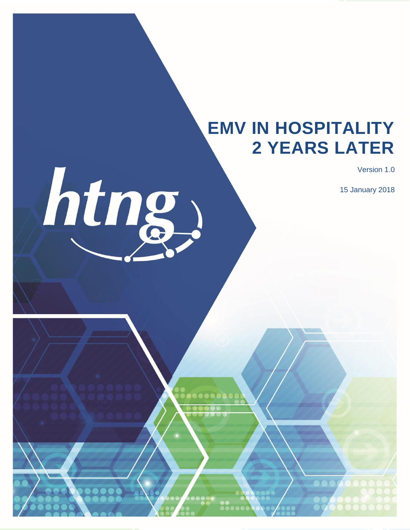# **EMV IN HOSPITALITY 2 YEARS LATER**

Version 1.0

15 January 2018



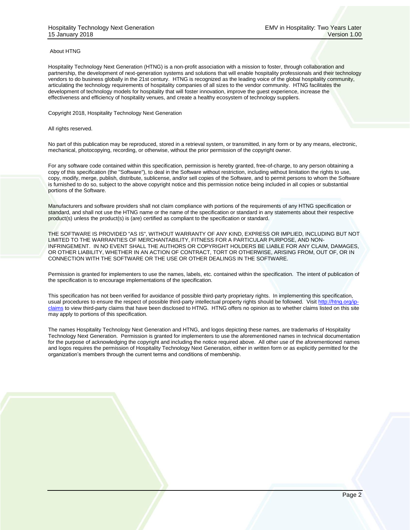#### About HTNG

Hospitality Technology Next Generation (HTNG) is a non-profit association with a mission to foster, through collaboration and partnership, the development of next-generation systems and solutions that will enable hospitality professionals and their technology vendors to do business globally in the 21st century. HTNG is recognized as the leading voice of the global hospitality community, articulating the technology requirements of hospitality companies of all sizes to the vendor community. HTNG facilitates the development of technology models for hospitality that will foster innovation, improve the guest experience, increase the effectiveness and efficiency of hospitality venues, and create a healthy ecosystem of technology suppliers.

Copyright 2018, Hospitality Technology Next Generation

All rights reserved.

No part of this publication may be reproduced, stored in a retrieval system, or transmitted, in any form or by any means, electronic, mechanical, photocopying, recording, or otherwise, without the prior permission of the copyright owner.

For any software code contained within this specification, permission is hereby granted, free-of-charge, to any person obtaining a copy of this specification (the "Software"), to deal in the Software without restriction, including without limitation the rights to use, copy, modify, merge, publish, distribute, sublicense, and/or sell copies of the Software, and to permit persons to whom the Software is furnished to do so, subject to the above copyright notice and this permission notice being included in all copies or substantial portions of the Software.

Manufacturers and software providers shall not claim compliance with portions of the requirements of any HTNG specification or standard, and shall not use the HTNG name or the name of the specification or standard in any statements about their respective product(s) unless the product(s) is (are) certified as compliant to the specification or standard.

THE SOFTWARE IS PROVIDED "AS IS", WITHOUT WARRANTY OF ANY KIND, EXPRESS OR IMPLIED, INCLUDING BUT NOT LIMITED TO THE WARRANTIES OF MERCHANTABILITY, FITNESS FOR A PARTICULAR PURPOSE, AND NON-INFRINGEMENT. IN NO EVENT SHALL THE AUTHORS OR COPYRIGHT HOLDERS BE LIABLE FOR ANY CLAIM, DAMAGES, OR OTHER LIABILITY, WHETHER IN AN ACTION OF CONTRACT, TORT OR OTHERWISE, ARISING FROM, OUT OF, OR IN CONNECTION WITH THE SOFTWARE OR THE USE OR OTHER DEALINGS IN THE SOFTWARE.

Permission is granted for implementers to use the names, labels, etc. contained within the specification. The intent of publication of the specification is to encourage implementations of the specification.

This specification has not been verified for avoidance of possible third-party proprietary rights. In implementing this specification, usual procedures to ensure the respect of possible third-party intellectual property rights should be followed. Visi[t http://htng.org/ip](http://htng.org/ip-claims)[claims](http://htng.org/ip-claims) to view third-party claims that have been disclosed to HTNG. HTNG offers no opinion as to whether claims listed on this site may apply to portions of this specification.

The names Hospitality Technology Next Generation and HTNG, and logos depicting these names, are trademarks of Hospitality Technology Next Generation. Permission is granted for implementers to use the aforementioned names in technical documentation for the purpose of acknowledging the copyright and including the notice required above. All other use of the aforementioned names and logos requires the permission of Hospitality Technology Next Generation, either in written form or as explicitly permitted for the organization's members through the current terms and conditions of membership.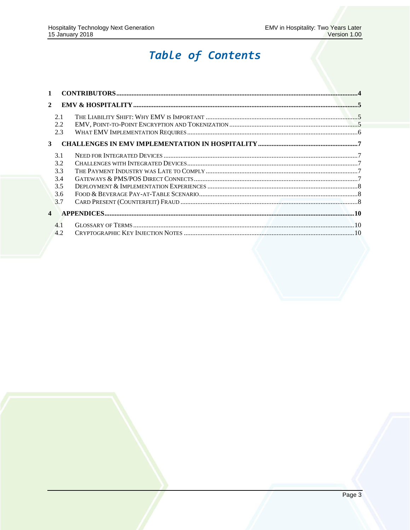### Table of Contents

| $\mathbf{1}$          |  |
|-----------------------|--|
| $\mathbf{2}$          |  |
| 2.1                   |  |
| 2.2                   |  |
| 2.3                   |  |
| 3                     |  |
| 3.1                   |  |
| 3.2                   |  |
| 3.3                   |  |
| 3.4                   |  |
| 3.5                   |  |
| 3.6                   |  |
| 3.7                   |  |
| $\boldsymbol{\Delta}$ |  |
| 4.1                   |  |
| 4.2                   |  |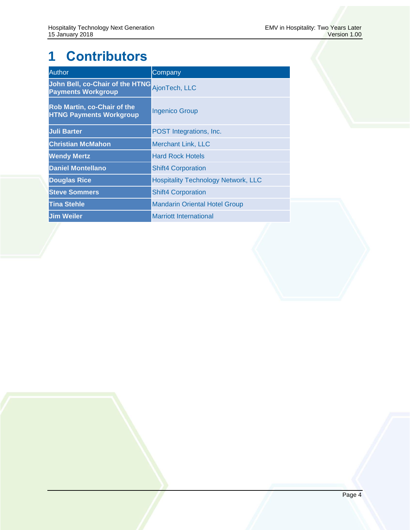## <span id="page-3-0"></span>**1 Contributors**

| <b>Author</b>                                                 | Company                                    |
|---------------------------------------------------------------|--------------------------------------------|
| John Bell, co-Chair of the HTNG<br><b>Payments Workgroup</b>  | AjonTech, LLC                              |
| Rob Martin, co-Chair of the<br><b>HTNG Payments Workgroup</b> | Ingenico Group                             |
| <b>Juli Barter</b>                                            | POST Integrations, Inc.                    |
| <b>Christian McMahon</b>                                      | <b>Merchant Link, LLC</b>                  |
| <b>Wendy Mertz</b>                                            | <b>Hard Rock Hotels</b>                    |
| <b>Daniel Montellano</b>                                      | <b>Shift4 Corporation</b>                  |
| <b>Douglas Rice</b>                                           | <b>Hospitality Technology Network, LLC</b> |
| <b>Steve Sommers</b>                                          | <b>Shift4 Corporation</b>                  |
| <b>Tina Stehle</b>                                            | <b>Mandarin Oriental Hotel Group</b>       |
| <b>Jim Weiler</b>                                             | <b>Marriott International</b>              |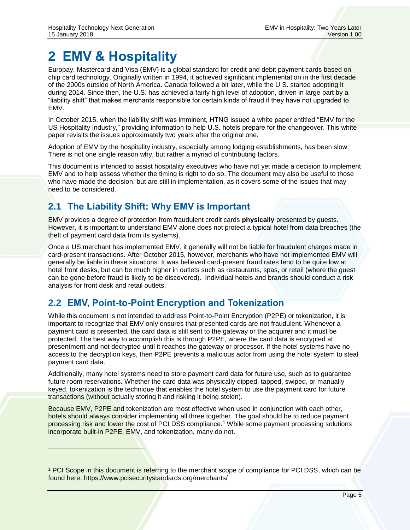### <span id="page-4-0"></span>**2 EMV & Hospitality**

Europay, Mastercard and Visa (EMV) is a global standard for credit and debit payment cards based on chip card technology. Originally written in 1994, it achieved significant implementation in the first decade of the 2000s outside of North America. Canada followed a bit later, while the U.S. started adopting it during 2014. Since then, the U.S. has achieved a fairly high level of adoption, driven in large part by a "liability shift" that makes merchants responsible for certain kinds of fraud if they have not upgraded to EMV.

In October 2015, when the liability shift was imminent, HTNG issued a white paper entitled "EMV for the US Hospitality Industry," providing information to help U.S. hotels prepare for the changeover. This white paper revisits the issues approximately two years after the original one.

Adoption of EMV by the hospitality industry, especially among lodging establishments, has been slow. There is not one single reason why, but rather a myriad of contributing factors.

This document is intended to assist hospitality executives who have not yet made a decision to implement EMV and to help assess whether the timing is right to do so. The document may also be useful to those who have made the decision, but are still in implementation, as it covers some of the issues that may need to be considered.

#### <span id="page-4-1"></span>**2.1 The Liability Shift: Why EMV is Important**

EMV provides a degree of protection from fraudulent credit cards **physically** presented by guests. However, it is important to understand EMV alone does not protect a typical hotel from data breaches (the theft of payment card data from its systems).

Once a US merchant has implemented EMV, it generally will not be liable for fraudulent charges made in card-present transactions. After October 2015, however, merchants who have not implemented EMV will generally be liable in these situations. It was believed card-present fraud rates tend to be quite low at hotel front desks, but can be much higher in outlets such as restaurants, spas, or retail (where the guest can be gone before fraud is likely to be discovered). Individual hotels and brands should conduct a risk analysis for front desk and retail outlets.

#### <span id="page-4-2"></span>**2.2 EMV, Point-to-Point Encryption and Tokenization**

While this document is not intended to address Point-to-Point Encryption (P2PE) or tokenization, it is important to recognize that EMV only ensures that presented cards are not fraudulent. Whenever a payment card is presented, the card data is still sent to the gateway or the acquirer and it must be protected. The best way to accomplish this is through P2PE, where the card data is encrypted at presentment and not decrypted until it reaches the gateway or processor. If the hotel systems have no access to the decryption keys, then P2PE prevents a malicious actor from using the hotel system to steal payment card data.

Additionally, many hotel systems need to store payment card data for future use, such as to guarantee future room reservations. Whether the card data was physically dipped, tapped, swiped, or manually keyed, tokenization is the technique that enables the hotel system to use the payment card for future transactions (without actually storing it and risking it being stolen).

Because EMV, P2PE and tokenization are most effective when used in conjunction with each other, hotels should always consider implementing all three together. The goal should be to reduce payment processing risk and lower the cost of PCI DSS compliance.<sup>1</sup> While some payment processing solutions incorporate built-in P2PE, EMV, and tokenization, many do not.

<sup>1</sup> PCI Scope in this document is referring to the merchant scope of compliance for PCI DSS, which can be found here: https://www.pcisecuritystandards.org/merchants/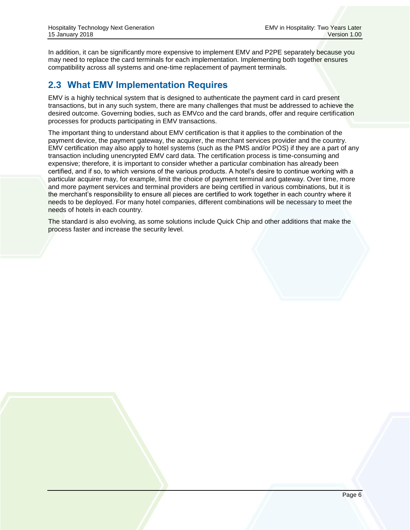In addition, it can be significantly more expensive to implement EMV and P2PE separately because you may need to replace the card terminals for each implementation. Implementing both together ensures compatibility across all systems and one-time replacement of payment terminals.

#### <span id="page-5-0"></span>**2.3 What EMV Implementation Requires**

EMV is a highly technical system that is designed to authenticate the payment card in card present transactions, but in any such system, there are many challenges that must be addressed to achieve the desired outcome. Governing bodies, such as EMVco and the card brands, offer and require certification processes for products participating in EMV transactions.

The important thing to understand about EMV certification is that it applies to the combination of the payment device, the payment gateway, the acquirer, the merchant services provider and the country. EMV certification may also apply to hotel systems (such as the PMS and/or POS) if they are a part of any transaction including unencrypted EMV card data. The certification process is time-consuming and expensive; therefore, it is important to consider whether a particular combination has already been certified, and if so, to which versions of the various products. A hotel's desire to continue working with a particular acquirer may, for example, limit the choice of payment terminal and gateway. Over time, more and more payment services and terminal providers are being certified in various combinations, but it is the merchant's responsibility to ensure all pieces are certified to work together in each country where it needs to be deployed. For many hotel companies, different combinations will be necessary to meet the needs of hotels in each country.

The standard is also evolving, as some solutions include Quick Chip and other additions that make the process faster and increase the security level.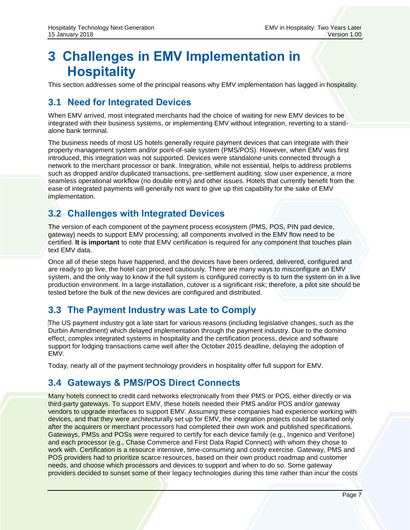### <span id="page-6-0"></span>**3 Challenges in EMV Implementation in Hospitality**

This section addresses some of the principal reasons why EMV implementation has lagged in hospitality.

### <span id="page-6-1"></span>**3.1 Need for Integrated Devices**

When EMV arrived, most integrated merchants had the choice of waiting for new EMV devices to be integrated with their business systems, or implementing EMV without integration, reverting to a standalone bank terminal.

The business needs of most US hotels generally require payment devices that can integrate with their property management system and/or point-of-sale system (PMS/POS). However, when EMV was first introduced, this integration was not supported. Devices were standalone units connected through a network to the merchant processor or bank. Integration, while not essential, helps to address problems such as dropped and/or duplicated transactions, pre-settlement auditing, slow user experience, a more seamless operational workflow (no double entry) and other issues. Hotels that currently benefit from the ease of integrated payments will generally not want to give up this capability for the sake of EMV implementation.

#### <span id="page-6-2"></span>**3.2 Challenges with Integrated Devices**

The version of each component of the payment process ecosystem (PMS, POS, PIN pad device, gateway) needs to support EMV processing; all components involved in the EMV flow need to be certified. **It is important** to note that EMV certification is required for any component that touches plain text EMV data.

Once all of these steps have happened, and the devices have been ordered, delivered, configured and are ready to go live, the hotel can proceed cautiously. There are many ways to misconfigure an EMV system, and the only way to know if the full system is configured correctly is to turn the system on in a live production environment. In a large installation, cutover is a significant risk; therefore, a pilot site should be tested before the bulk of the new devices are configured and distributed.

#### <span id="page-6-3"></span>**3.3 The Payment Industry was Late to Comply**

The US payment industry got a late start for various reasons (including legislative changes, such as the Durbin Amendment) which delayed implementation through the payment industry. Due to the domino effect, complex integrated systems in hospitality and the certification process, device and software support for lodging transactions came well after the October 2015 deadline, delaying the adoption of EMV.

Today, nearly all of the payment technology providers in hospitality offer full support for EMV.

#### <span id="page-6-4"></span>**3.4 Gateways & PMS/POS Direct Connects**

Many hotels connect to credit card networks electronically from their PMS or POS, either directly or via third-party gateways. To support EMV, these hotels needed their PMS and/or POS and/or gateway vendors to upgrade interfaces to support EMV. Assuming these companies had experience working with devices, and that they were architecturally set up for EMV, the integration projects could be started only after the acquirers or merchant processors had completed their own work and published specifications. Gateways, PMSs and POSs were required to certify for each device family (e.g., Ingenico and Verifone) and each processor (e.g., Chase Commerce and First Data Rapid Connect) with whom they chose to work with. Certification is a resource intensive, time-consuming and costly exercise. Gateway, PMS and POS providers had to prioritize scarce resources, based on their own product roadmap and customer needs, and choose which processors and devices to support and when to do so. Some gateway providers decided to sunset some of their legacy technologies during this time rather than incur the costs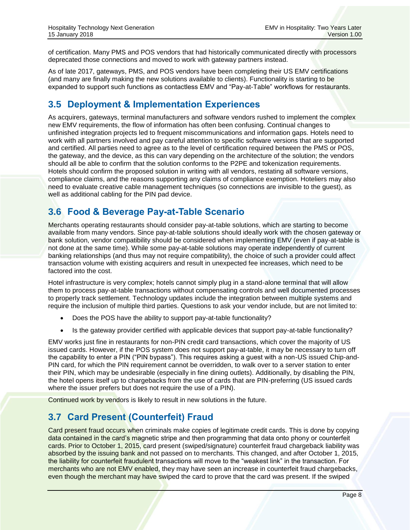of certification. Many PMS and POS vendors that had historically communicated directly with processors deprecated those connections and moved to work with gateway partners instead.

As of late 2017, gateways, PMS, and POS vendors have been completing their US EMV certifications (and many are finally making the new solutions available to clients). Functionality is starting to be expanded to support such functions as contactless EMV and "Pay-at-Table" workflows for restaurants.

#### <span id="page-7-0"></span>**3.5 Deployment & Implementation Experiences**

As acquirers, gateways, terminal manufacturers and software vendors rushed to implement the complex new EMV requirements, the flow of information has often been confusing. Continual changes to unfinished integration projects led to frequent miscommunications and information gaps. Hotels need to work with all partners involved and pay careful attention to specific software versions that are supported and certified. All parties need to agree as to the level of certification required between the PMS or POS, the gateway, and the device, as this can vary depending on the architecture of the solution; the vendors should all be able to confirm that the solution conforms to the P2PE and tokenization requirements. Hotels should confirm the proposed solution in writing with all vendors, restating all software versions, compliance claims, and the reasons supporting any claims of compliance exemption. Hoteliers may also need to evaluate creative cable management techniques (so connections are invisible to the guest), as well as additional cabling for the PIN pad device.

#### <span id="page-7-1"></span>**3.6 Food & Beverage Pay-at-Table Scenario**

Merchants operating restaurants should consider pay-at-table solutions, which are starting to become available from many vendors. Since pay-at-table solutions should ideally work with the chosen gateway or bank solution, vendor compatibility should be considered when implementing EMV (even if pay-at-table is not done at the same time). While some pay-at-table solutions may operate independently of current banking relationships (and thus may not require compatibility), the choice of such a provider could affect transaction volume with existing acquirers and result in unexpected fee increases, which need to be factored into the cost.

Hotel infrastructure is very complex; hotels cannot simply plug in a stand-alone terminal that will allow them to process pay-at-table transactions without compensating controls and well documented processes to properly track settlement. Technology updates include the integration between multiple systems and require the inclusion of multiple third parties. Questions to ask your vendor include, but are not limited to:

- Does the POS have the ability to support pay-at-table functionality?
- Is the gateway provider certified with applicable devices that support pay-at-table functionality?

EMV works just fine in restaurants for non-PIN credit card transactions, which cover the majority of US issued cards. However, if the POS system does not support pay-at-table, it may be necessary to turn off the capability to enter a PIN ("PIN bypass"). This requires asking a guest with a non-US issued Chip-and-PIN card, for which the PIN requirement cannot be overridden, to walk over to a server station to enter their PIN, which may be undesirable (especially in fine dining outlets). Additionally, by disabling the PIN, the hotel opens itself up to chargebacks from the use of cards that are PIN-preferring (US issued cards where the issuer prefers but does not require the use of a PIN).

Continued work by vendors is likely to result in new solutions in the future.

#### <span id="page-7-2"></span>**3.7 Card Present (Counterfeit) Fraud**

Card present fraud occurs when criminals make copies of legitimate credit cards. This is done by copying data contained in the card's magnetic stripe and then programming that data onto phony or counterfeit cards. Prior to October 1, 2015, card present (swiped/signature) counterfeit fraud chargeback liability was absorbed by the issuing bank and not passed on to merchants. This changed, and after October 1, 2015, the liability for counterfeit fraudulent transactions will move to the "weakest link" in the transaction. For merchants who are not EMV enabled, they may have seen an increase in counterfeit fraud chargebacks, even though the merchant may have swiped the card to prove that the card was present. If the swiped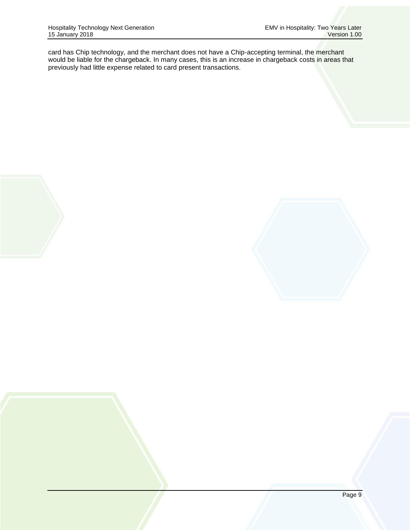card has Chip technology, and the merchant does not have a Chip-accepting terminal, the merchant would be liable for the chargeback. In many cases, this is an increase in chargeback costs in areas that previously had little expense related to card present transactions.